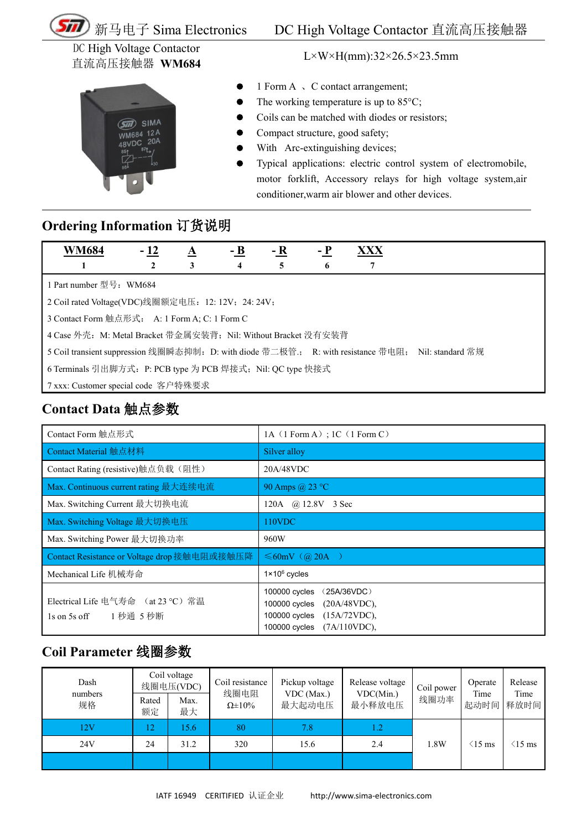

DC High Voltage Contactor 直流高压接触器 **WM684** L×W×H(mm):32×26.5×23.5mm



- 1 Form A  $\sqrt{C}$  contact arrangement;
- The working temperature is up to 85°C;
- Coils can be matched with diodes or resistors;
- Compact structure, good safety;
- With Arc-extinguishing devices;
- Typical applications: electric control system of electromobile, motor forklift, Accessory relays for high voltage system,air conditioner,warm air blower and other devices.

#### **Ordering Information** 订货说明

| <b>WM684</b>                                                                                       | $-12$ | A | $- B$ | - R | – P | XXX |  |  |
|----------------------------------------------------------------------------------------------------|-------|---|-------|-----|-----|-----|--|--|
|                                                                                                    |       | 3 | 4     |     | o   |     |  |  |
| 1 Part number 型号: WM684                                                                            |       |   |       |     |     |     |  |  |
| 2 Coil rated Voltage(VDC)线圈额定电压: 12: 12V; 24: 24V;                                                 |       |   |       |     |     |     |  |  |
| 3 Contact Form 触点形式: A: 1 Form A; C: 1 Form C                                                      |       |   |       |     |     |     |  |  |
| 4 Case 外壳: M: Metal Bracket 带金属安装背; Nil: Without Bracket 没有安装背                                     |       |   |       |     |     |     |  |  |
| 5 Coil transient suppression 线圈瞬态抑制: D: with diode 带二极管:; R: with resistance 带电阻; Nil: standard 常规 |       |   |       |     |     |     |  |  |
| 6 Terminals 引出脚方式: P: PCB type 为 PCB 焊接式; Nil: QC type 快接式                                         |       |   |       |     |     |     |  |  |
| ┃ 7 xxx: Customer special code 客户特殊要求                                                              |       |   |       |     |     |     |  |  |

## **Contact Data** 触点参数

| Contact Form 触点形式                                            | 1A $(1$ Form A); 1C $(1$ Form C)                                                                                                          |  |  |  |  |  |
|--------------------------------------------------------------|-------------------------------------------------------------------------------------------------------------------------------------------|--|--|--|--|--|
| Contact Material 触点材料                                        | Silver alloy                                                                                                                              |  |  |  |  |  |
| Contact Rating (resistive)触点负载(阻性)                           | 20A/48VDC                                                                                                                                 |  |  |  |  |  |
| Max. Continuous current rating 最大连续电流                        | 90 Amps @ 23 °C                                                                                                                           |  |  |  |  |  |
| Max. Switching Current 最大切换电流                                | 120A @ 12.8V 3 Sec                                                                                                                        |  |  |  |  |  |
| Max. Switching Voltage 最大切换电压                                | 110VDC                                                                                                                                    |  |  |  |  |  |
| Max. Switching Power 最大切换功率                                  | 960W                                                                                                                                      |  |  |  |  |  |
| Contact Resistance or Voltage drop 接触电阻或接触压降                 | $\leq 60$ mV (@ 20A)                                                                                                                      |  |  |  |  |  |
| Mechanical Life 机械寿命                                         | $1 \times 10^6$ cycles                                                                                                                    |  |  |  |  |  |
| Electrical Life 电气寿命 (at 23 ℃) 常温<br>1秒通 5秒断<br>1s on 5s off | 100000 cycles<br>(25A/36VDC)<br>$(20A/48VDC)$ ,<br>100000 cycles<br>(15A/72VDC),<br>$100000$ cycles<br>$(7A/110VDC)$ ,<br>$100000$ cycles |  |  |  |  |  |

### **Coil Parameter** 线圈参数

| Dash          | Coil voltage<br>线圈电压(VDC) |            | Coil resistance<br>线圈电阻 | Pickup voltage       | Release voltage     | Coil power | Operate                         | Release           |
|---------------|---------------------------|------------|-------------------------|----------------------|---------------------|------------|---------------------------------|-------------------|
| numbers<br>规格 | Rated<br>额定               | Max.<br>最大 | $\Omega \pm 10\%$       | VDC (Max.)<br>最大起动电压 | VDC(Min.)<br>最小释放电压 | 线圈功率       | Time<br>起动时间                    | Time<br>释放时间      |
| 12V           | 12                        | 5.6        | 80                      | 7.8                  | l.2                 |            |                                 |                   |
| 24V           | 24                        | 31.2       | 320                     | 15.6                 | 2.4                 | 1.8W       | $\langle 15 \text{ ms} \rangle$ | $(15 \text{ ms})$ |
|               |                           |            |                         |                      |                     |            |                                 |                   |